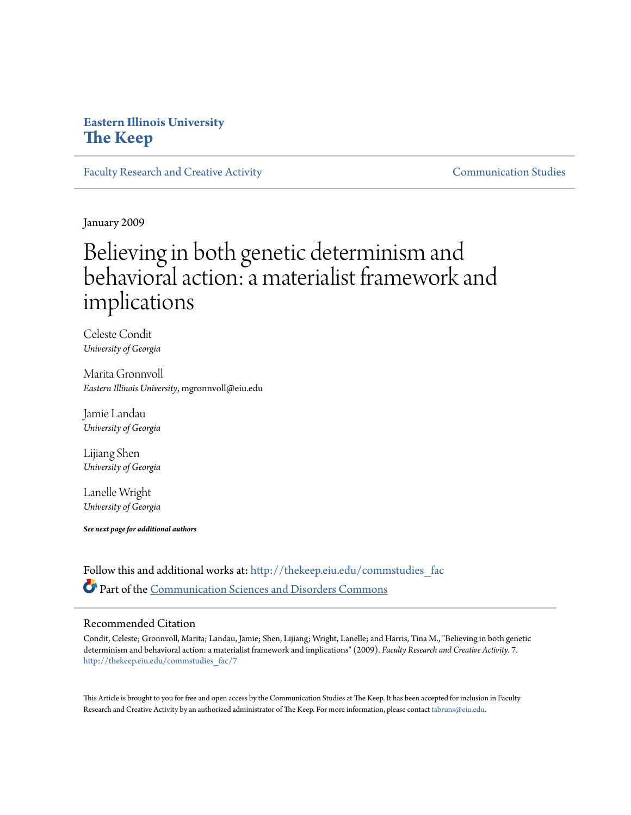## **Eastern Illinois University [The Keep](http://thekeep.eiu.edu?utm_source=thekeep.eiu.edu%2Fcommstudies_fac%2F7&utm_medium=PDF&utm_campaign=PDFCoverPages)**

[Faculty Research and Creative Activity](http://thekeep.eiu.edu/commstudies_fac?utm_source=thekeep.eiu.edu%2Fcommstudies_fac%2F7&utm_medium=PDF&utm_campaign=PDFCoverPages) **[Communication Studies](http://thekeep.eiu.edu/commstudies?utm_source=thekeep.eiu.edu%2Fcommstudies_fac%2F7&utm_medium=PDF&utm_campaign=PDFCoverPages)** Communication Studies

January 2009

# Believing in both genetic determinism and behavioral action: a materialist framework and implications

Celeste Condit *University of Georgia*

Marita Gronnvoll *Eastern Illinois University*, mgronnvoll@eiu.edu

Jamie Landau *University of Georgia*

Lijiang Shen *University of Georgia*

Lanelle Wright *University of Georgia*

*See next page for additional authors*

Follow this and additional works at: [http://thekeep.eiu.edu/commstudies\\_fac](http://thekeep.eiu.edu/commstudies_fac?utm_source=thekeep.eiu.edu%2Fcommstudies_fac%2F7&utm_medium=PDF&utm_campaign=PDFCoverPages) Part of the [Communication Sciences and Disorders Commons](http://network.bepress.com/hgg/discipline/1019?utm_source=thekeep.eiu.edu%2Fcommstudies_fac%2F7&utm_medium=PDF&utm_campaign=PDFCoverPages)

#### Recommended Citation

Condit, Celeste; Gronnvoll, Marita; Landau, Jamie; Shen, Lijiang; Wright, Lanelle; and Harris, Tina M., "Believing in both genetic determinism and behavioral action: a materialist framework and implications" (2009). *Faculty Research and Creative Activity*. 7. [http://thekeep.eiu.edu/commstudies\\_fac/7](http://thekeep.eiu.edu/commstudies_fac/7?utm_source=thekeep.eiu.edu%2Fcommstudies_fac%2F7&utm_medium=PDF&utm_campaign=PDFCoverPages)

This Article is brought to you for free and open access by the Communication Studies at The Keep. It has been accepted for inclusion in Faculty Research and Creative Activity by an authorized administrator of The Keep. For more information, please contact [tabruns@eiu.edu](mailto:tabruns@eiu.edu).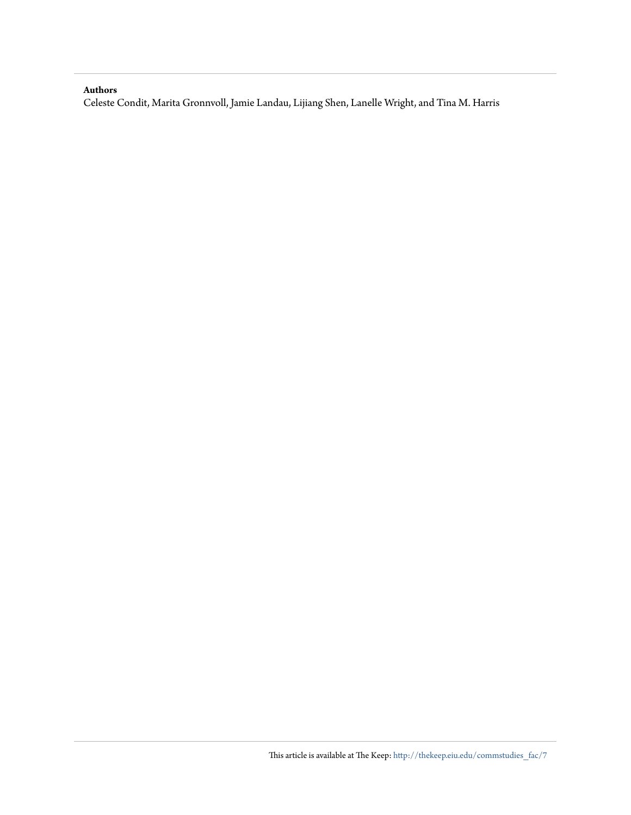#### **Authors**

Celeste Condit, Marita Gronnvoll, Jamie Landau, Lijiang Shen, Lanelle Wright, and Tina M. Harris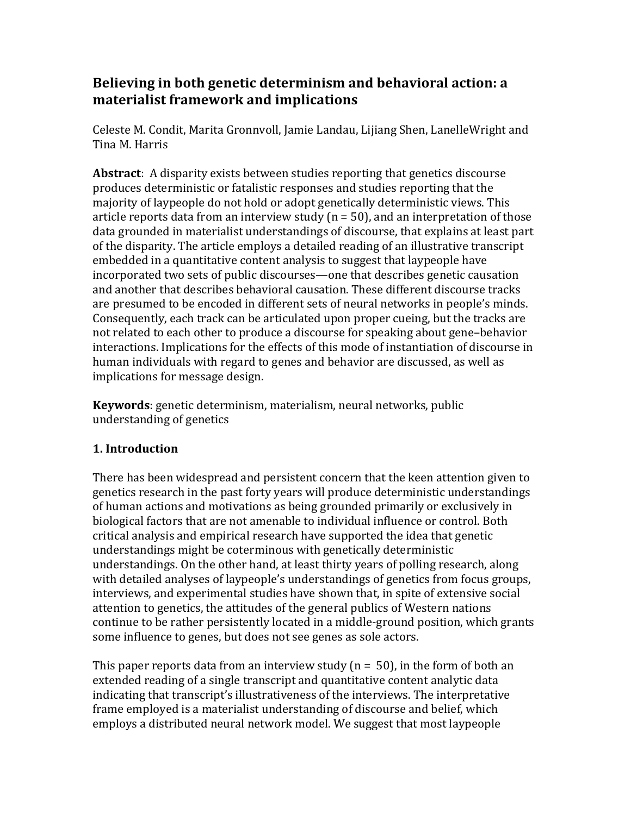# **Believing in both genetic determinism and behavioral action: a materialist framework and implications**

Celeste M. Condit, Marita Gronnvoll, Jamie Landau, Lijiang Shen, LanelleWright and Tina M. Harris

**Abstract:** A disparity exists between studies reporting that genetics discourse produces deterministic or fatalistic responses and studies reporting that the majority of laypeople do not hold or adopt genetically deterministic views. This article reports data from an interview study  $(n = 50)$ , and an interpretation of those data grounded in materialist understandings of discourse, that explains at least part of the disparity. The article employs a detailed reading of an illustrative transcript embedded in a quantitative content analysis to suggest that laypeople have incorporated two sets of public discourses—one that describes genetic causation and another that describes behavioral causation. These different discourse tracks are presumed to be encoded in different sets of neural networks in people's minds. Consequently, each track can be articulated upon proper cueing, but the tracks are not related to each other to produce a discourse for speaking about gene-behavior interactions. Implications for the effects of this mode of instantiation of discourse in human individuals with regard to genes and behavior are discussed, as well as implications for message design.

**Keywords**: genetic determinism, materialism, neural networks, public understanding of genetics

## **1. Introduction**

There has been widespread and persistent concern that the keen attention given to genetics research in the past forty years will produce deterministic understandings of human actions and motivations as being grounded primarily or exclusively in biological factors that are not amenable to individual influence or control. Both critical analysis and empirical research have supported the idea that genetic understandings might be coterminous with genetically deterministic understandings. On the other hand, at least thirty years of polling research, along with detailed analyses of laypeople's understandings of genetics from focus groups, interviews, and experimental studies have shown that, in spite of extensive social attention to genetics, the attitudes of the general publics of Western nations continue to be rather persistently located in a middle-ground position, which grants some influence to genes, but does not see genes as sole actors.

This paper reports data from an interview study ( $n = 50$ ), in the form of both an extended reading of a single transcript and quantitative content analytic data indicating that transcript's illustrativeness of the interviews. The interpretative frame employed is a materialist understanding of discourse and belief, which employs a distributed neural network model. We suggest that most laypeople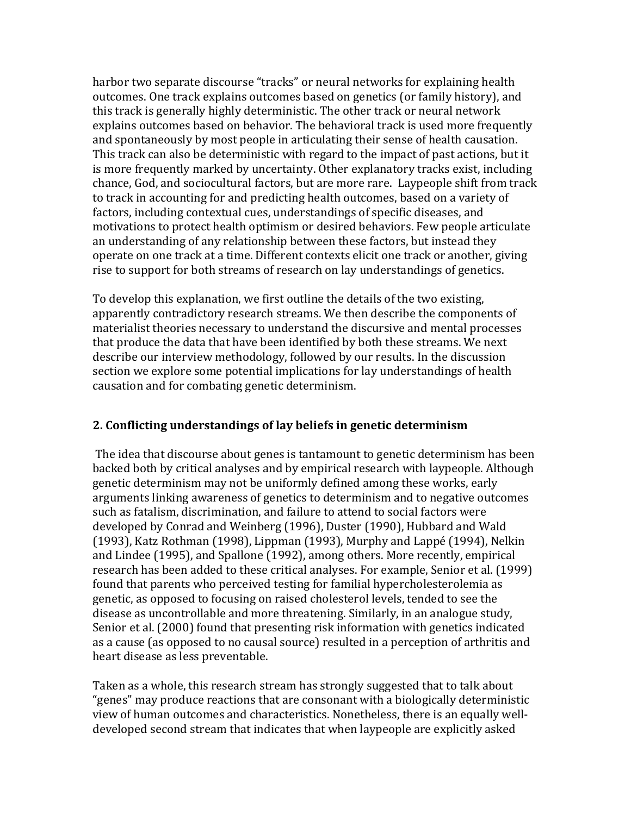harbor two separate discourse "tracks" or neural networks for explaining health outcomes. One track explains outcomes based on genetics (or family history), and this track is generally highly deterministic. The other track or neural network explains outcomes based on behavior. The behavioral track is used more frequently and spontaneously by most people in articulating their sense of health causation. This track can also be deterministic with regard to the impact of past actions, but it is more frequently marked by uncertainty. Other explanatory tracks exist, including chance, God, and sociocultural factors, but are more rare. Laypeople shift from track to track in accounting for and predicting health outcomes, based on a variety of factors, including contextual cues, understandings of specific diseases, and motivations to protect health optimism or desired behaviors. Few people articulate an understanding of any relationship between these factors, but instead they operate on one track at a time. Different contexts elicit one track or another, giving rise to support for both streams of research on lay understandings of genetics.

To develop this explanation, we first outline the details of the two existing, apparently contradictory research streams. We then describe the components of materialist theories necessary to understand the discursive and mental processes that produce the data that have been identified by both these streams. We next describe our interview methodology, followed by our results. In the discussion section we explore some potential implications for lay understandings of health causation and for combating genetic determinism.

### **2. Conflicting understandings of lay beliefs in genetic determinism**

The idea that discourse about genes is tantamount to genetic determinism has been backed both by critical analyses and by empirical research with laypeople. Although genetic determinism may not be uniformly defined among these works, early arguments linking awareness of genetics to determinism and to negative outcomes such as fatalism, discrimination, and failure to attend to social factors were developed by Conrad and Weinberg (1996), Duster (1990), Hubbard and Wald (1993), Katz Rothman (1998), Lippman (1993), Murphy and Lappé (1994), Nelkin and Lindee (1995), and Spallone (1992), among others. More recently, empirical research has been added to these critical analyses. For example, Senior et al. (1999) found that parents who perceived testing for familial hypercholesterolemia as genetic, as opposed to focusing on raised cholesterol levels, tended to see the disease as uncontrollable and more threatening. Similarly, in an analogue study, Senior et al. (2000) found that presenting risk information with genetics indicated as a cause (as opposed to no causal source) resulted in a perception of arthritis and heart disease as less preventable.

Taken as a whole, this research stream has strongly suggested that to talk about "genes" may produce reactions that are consonant with a biologically deterministic view of human outcomes and characteristics. Nonetheless, there is an equally welldeveloped second stream that indicates that when laypeople are explicitly asked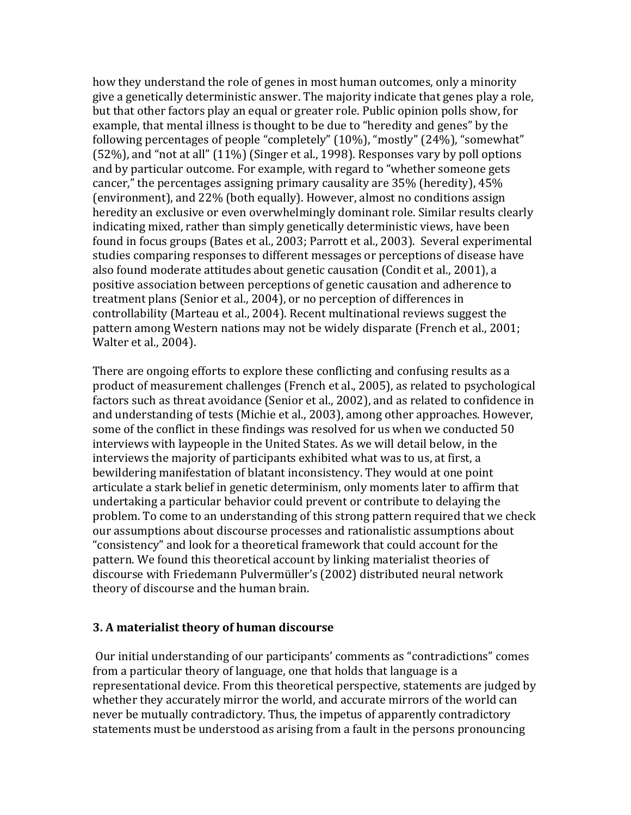how they understand the role of genes in most human outcomes, only a minority give a genetically deterministic answer. The majority indicate that genes play a role, but that other factors play an equal or greater role. Public opinion polls show, for example, that mental illness is thought to be due to "heredity and genes" by the following percentages of people "completely"  $(10\%)$ , "mostly"  $(24\%)$ , "somewhat"  $(52%)$ , and "not at all"  $(11%)$  (Singer et al., 1998). Responses vary by poll options and by particular outcome. For example, with regard to "whether someone gets cancer," the percentages assigning primary causality are  $35\%$  (heredity),  $45\%$ (environment), and 22% (both equally). However, almost no conditions assign heredity an exclusive or even overwhelmingly dominant role. Similar results clearly indicating mixed, rather than simply genetically deterministic views, have been found in focus groups (Bates et al., 2003; Parrott et al., 2003). Several experimental studies comparing responses to different messages or perceptions of disease have also found moderate attitudes about genetic causation (Condit et al., 2001), a positive association between perceptions of genetic causation and adherence to treatment plans (Senior et al., 2004), or no perception of differences in controllability (Marteau et al., 2004). Recent multinational reviews suggest the pattern among Western nations may not be widely disparate (French et al., 2001; Walter et al., 2004).

There are ongoing efforts to explore these conflicting and confusing results as a product of measurement challenges (French et al., 2005), as related to psychological factors such as threat avoidance (Senior et al., 2002), and as related to confidence in and understanding of tests (Michie et al., 2003), among other approaches. However, some of the conflict in these findings was resolved for us when we conducted 50 interviews with laypeople in the United States. As we will detail below, in the interviews the majority of participants exhibited what was to us, at first, a bewildering manifestation of blatant inconsistency. They would at one point articulate a stark belief in genetic determinism, only moments later to affirm that undertaking a particular behavior could prevent or contribute to delaying the problem. To come to an understanding of this strong pattern required that we check our assumptions about discourse processes and rationalistic assumptions about "consistency" and look for a theoretical framework that could account for the pattern. We found this theoretical account by linking materialist theories of discourse with Friedemann Pulvermüller's (2002) distributed neural network theory of discourse and the human brain.

#### **3. A materialist theory of human discourse**

Our initial understanding of our participants' comments as "contradictions" comes from a particular theory of language, one that holds that language is a representational device. From this theoretical perspective, statements are judged by whether they accurately mirror the world, and accurate mirrors of the world can never be mutually contradictory. Thus, the impetus of apparently contradictory statements must be understood as arising from a fault in the persons pronouncing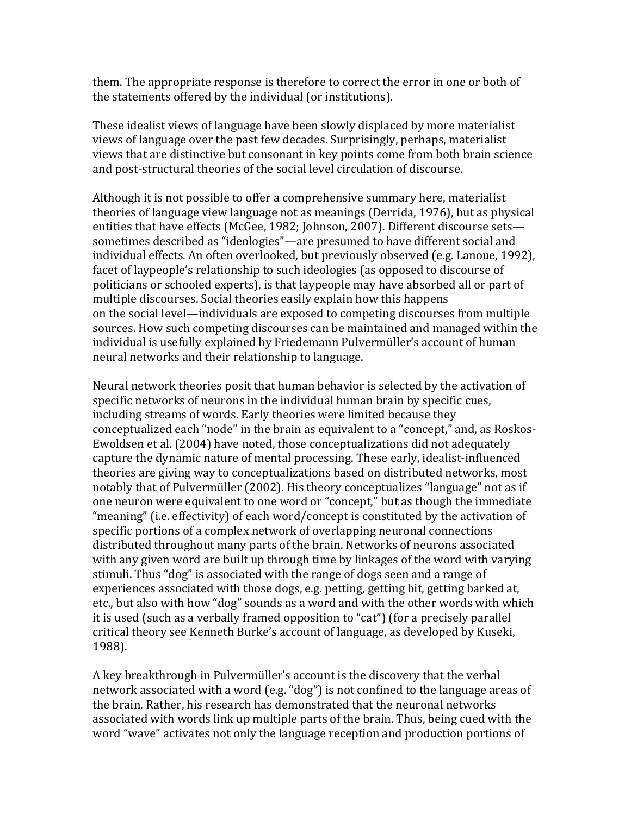them. The appropriate response is therefore to correct the error in one or both of the statements offered by the individual (or institutions).

These idealist views of language have been slowly displaced by more materialist views of language over the past few decades. Surprisingly, perhaps, materialist views that are distinctive but consonant in key points come from both brain science and post-structural theories of the social level circulation of discourse.

Although it is not possible to offer a comprehensive summary here, materialist theories of language view language not as meanings (Derrida, 1976), but as physical entities that have effects (McGee, 1982; Johnson, 2007). Different discourse setssometimes described as "ideologies"—are presumed to have different social and individual effects. An often overlooked, but previously observed (e.g. Lanoue, 1992), facet of laypeople's relationship to such ideologies (as opposed to discourse of politicians or schooled experts), is that laypeople may have absorbed all or part of multiple discourses. Social theories easily explain how this happens on the social level—individuals are exposed to competing discourses from multiple sources. How such competing discourses can be maintained and managed within the individual is usefully explained by Friedemann Pulvermüller's account of human neural networks and their relationship to language.

Neural network theories posit that human behavior is selected by the activation of specific networks of neurons in the individual human brain by specific cues, including streams of words. Early theories were limited because they conceptualized each "node" in the brain as equivalent to a "concept," and, as Roskos-Ewoldsen et al. (2004) have noted, those conceptualizations did not adequately capture the dynamic nature of mental processing. These early, idealist-influenced theories are giving way to conceptualizations based on distributed networks, most notably that of Pulvermüller (2002). His theory conceptualizes "language" not as if one neuron were equivalent to one word or "concept," but as though the immediate "meaning" (i.e. effectivity) of each word/concept is constituted by the activation of specific portions of a complex network of overlapping neuronal connections distributed throughout many parts of the brain. Networks of neurons associated with any given word are built up through time by linkages of the word with varying stimuli. Thus "dog" is associated with the range of dogs seen and a range of experiences associated with those dogs, e.g. petting, getting bit, getting barked at, etc., but also with how "dog" sounds as a word and with the other words with which it is used (such as a verbally framed opposition to "cat") (for a precisely parallel critical theory see Kenneth Burke's account of language, as developed by Kuseki, 1988).

A key breakthrough in Pulvermüller's account is the discovery that the verbal network associated with a word (e.g. "dog") is not confined to the language areas of the brain. Rather, his research has demonstrated that the neuronal networks associated with words link up multiple parts of the brain. Thus, being cued with the word "wave" activates not only the language reception and production portions of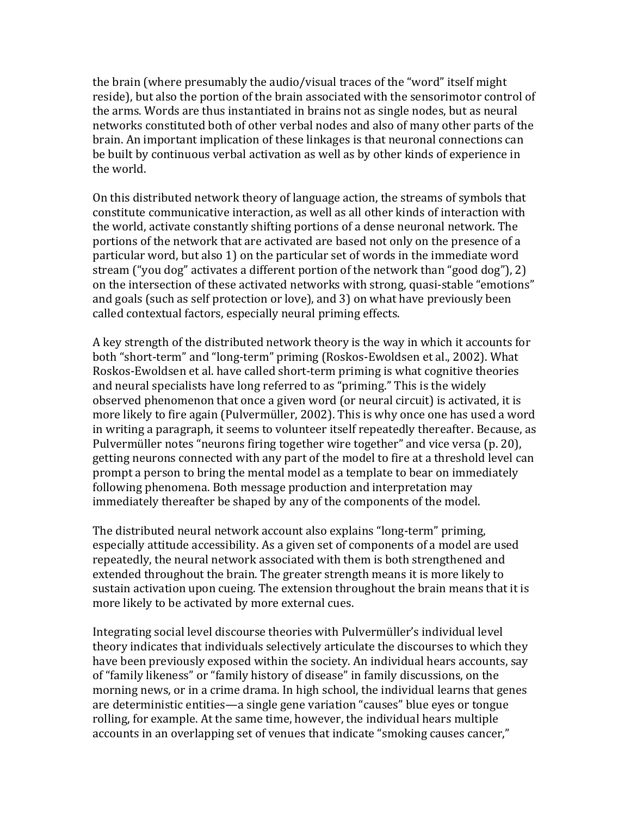the brain (where presumably the audio/visual traces of the "word" itself might reside), but also the portion of the brain associated with the sensorimotor control of the arms. Words are thus instantiated in brains not as single nodes, but as neural networks constituted both of other verbal nodes and also of many other parts of the brain. An important implication of these linkages is that neuronal connections can be built by continuous verbal activation as well as by other kinds of experience in the world.

On this distributed network theory of language action, the streams of symbols that constitute communicative interaction, as well as all other kinds of interaction with the world, activate constantly shifting portions of a dense neuronal network. The portions of the network that are activated are based not only on the presence of a particular word, but also 1) on the particular set of words in the immediate word stream ("you dog" activates a different portion of the network than "good dog"), 2) on the intersection of these activated networks with strong, quasi-stable "emotions" and goals (such as self protection or love), and 3) on what have previously been called contextual factors, especially neural priming effects.

A key strength of the distributed network theory is the way in which it accounts for both "short-term" and "long-term" priming (Roskos-Ewoldsen et al., 2002). What Roskos-Ewoldsen et al. have called short-term priming is what cognitive theories and neural specialists have long referred to as "priming." This is the widely observed phenomenon that once a given word (or neural circuit) is activated, it is more likely to fire again (Pulvermüller, 2002). This is why once one has used a word in writing a paragraph, it seems to volunteer itself repeatedly thereafter. Because, as Pulvermüller notes "neurons firing together wire together" and vice versa (p. 20), getting neurons connected with any part of the model to fire at a threshold level can prompt a person to bring the mental model as a template to bear on immediately following phenomena. Both message production and interpretation may immediately thereafter be shaped by any of the components of the model.

The distributed neural network account also explains "long-term" priming, especially attitude accessibility. As a given set of components of a model are used repeatedly, the neural network associated with them is both strengthened and extended throughout the brain. The greater strength means it is more likely to sustain activation upon cueing. The extension throughout the brain means that it is more likely to be activated by more external cues.

Integrating social level discourse theories with Pulvermüller's individual level theory indicates that individuals selectively articulate the discourses to which they have been previously exposed within the society. An individual hears accounts, say of "family likeness" or "family history of disease" in family discussions, on the morning news, or in a crime drama. In high school, the individual learns that genes are deterministic entities—a single gene variation "causes" blue eyes or tongue rolling, for example. At the same time, however, the individual hears multiple accounts in an overlapping set of venues that indicate "smoking causes cancer,"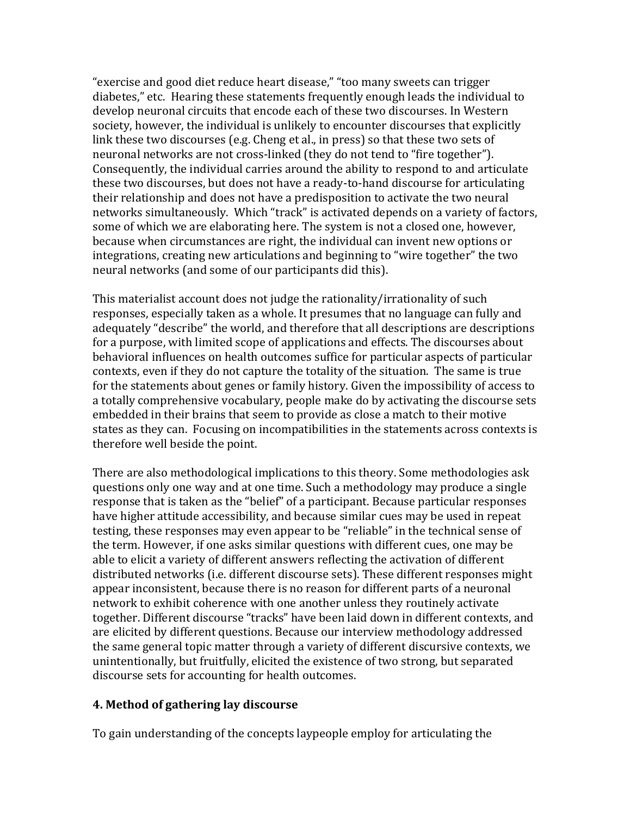"exercise and good diet reduce heart disease," "too many sweets can trigger diabetes," etc. Hearing these statements frequently enough leads the individual to develop neuronal circuits that encode each of these two discourses. In Western society, however, the individual is unlikely to encounter discourses that explicitly link these two discourses (e.g. Cheng et al., in press) so that these two sets of neuronal networks are not cross-linked (they do not tend to "fire together"). Consequently, the individual carries around the ability to respond to and articulate these two discourses, but does not have a ready-to-hand discourse for articulating their relationship and does not have a predisposition to activate the two neural networks simultaneously. Which "track" is activated depends on a variety of factors, some of which we are elaborating here. The system is not a closed one, however, because when circumstances are right, the individual can invent new options or integrations, creating new articulations and beginning to "wire together" the two neural networks (and some of our participants did this).

This materialist account does not judge the rationality/irrationality of such responses, especially taken as a whole. It presumes that no language can fully and adequately "describe" the world, and therefore that all descriptions are descriptions for a purpose, with limited scope of applications and effects. The discourses about behavioral influences on health outcomes suffice for particular aspects of particular contexts, even if they do not capture the totality of the situation. The same is true for the statements about genes or family history. Given the impossibility of access to a totally comprehensive vocabulary, people make do by activating the discourse sets embedded in their brains that seem to provide as close a match to their motive states as they can. Focusing on incompatibilities in the statements across contexts is therefore well beside the point.

There are also methodological implications to this theory. Some methodologies ask questions only one way and at one time. Such a methodology may produce a single response that is taken as the "belief" of a participant. Because particular responses have higher attitude accessibility, and because similar cues may be used in repeat testing, these responses may even appear to be "reliable" in the technical sense of the term. However, if one asks similar questions with different cues, one may be able to elicit a variety of different answers reflecting the activation of different distributed networks (i.e. different discourse sets). These different responses might appear inconsistent, because there is no reason for different parts of a neuronal network to exhibit coherence with one another unless they routinely activate together. Different discourse "tracks" have been laid down in different contexts, and are elicited by different questions. Because our interview methodology addressed the same general topic matter through a variety of different discursive contexts, we unintentionally, but fruitfully, elicited the existence of two strong, but separated discourse sets for accounting for health outcomes.

### **4. Method of gathering lay discourse**

To gain understanding of the concepts laypeople employ for articulating the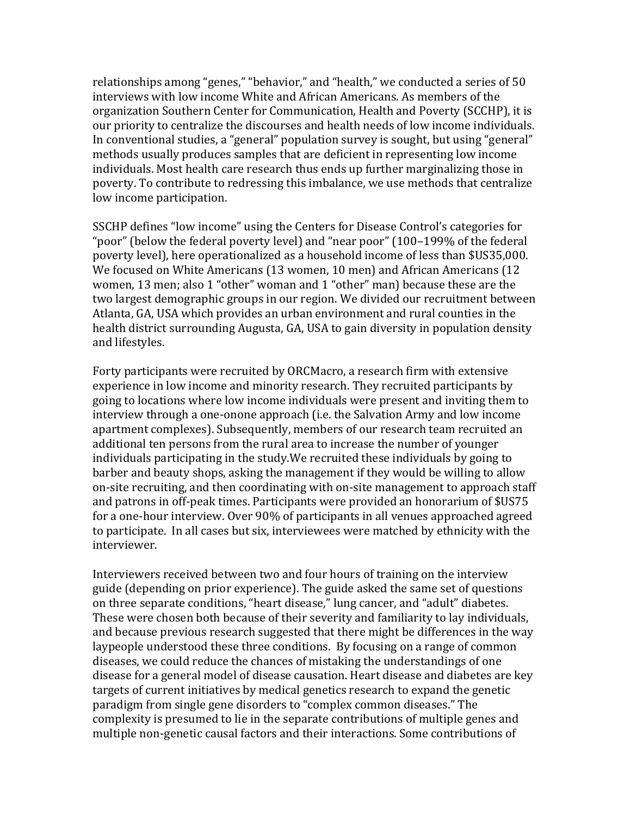relationships among "genes," "behavior," and "health," we conducted a series of 50 interviews with low income White and African Americans. As members of the organization Southern Center for Communication, Health and Poverty (SCCHP), it is our priority to centralize the discourses and health needs of low income individuals. In conventional studies, a "general" population survey is sought, but using "general" methods usually produces samples that are deficient in representing low income individuals. Most health care research thus ends up further marginalizing those in poverty. To contribute to redressing this imbalance, we use methods that centralize low income participation.

SSCHP defines "low income" using the Centers for Disease Control's categories for "poor" (below the federal poverty level) and "near poor" (100–199% of the federal poverty level), here operationalized as a household income of less than \$US35,000. We focused on White Americans  $(13 \text{ women}, 10 \text{ men})$  and African Americans  $(12 \text{ mm})$ women, 13 men; also 1 "other" woman and 1 "other" man) because these are the two largest demographic groups in our region. We divided our recruitment between Atlanta, GA, USA which provides an urban environment and rural counties in the health district surrounding Augusta, GA, USA to gain diversity in population density and lifestyles.

Forty participants were recruited by ORCMacro, a research firm with extensive experience in low income and minority research. They recruited participants by going to locations where low income individuals were present and inviting them to interview through a one-onone approach (i.e. the Salvation Army and low income apartment complexes). Subsequently, members of our research team recruited an additional ten persons from the rural area to increase the number of younger individuals participating in the study. We recruited these individuals by going to barber and beauty shops, asking the management if they would be willing to allow on-site recruiting, and then coordinating with on-site management to approach staff and patrons in off-peak times. Participants were provided an honorarium of \$US75 for a one-hour interview. Over 90% of participants in all venues approached agreed to participate. In all cases but six, interviewees were matched by ethnicity with the interviewer. 

Interviewers received between two and four hours of training on the interview guide (depending on prior experience). The guide asked the same set of questions on three separate conditions, "heart disease," lung cancer, and "adult" diabetes. These were chosen both because of their severity and familiarity to lay individuals, and because previous research suggested that there might be differences in the way laypeople understood these three conditions. By focusing on a range of common diseases, we could reduce the chances of mistaking the understandings of one disease for a general model of disease causation. Heart disease and diabetes are key targets of current initiatives by medical genetics research to expand the genetic paradigm from single gene disorders to "complex common diseases." The complexity is presumed to lie in the separate contributions of multiple genes and multiple non-genetic causal factors and their interactions. Some contributions of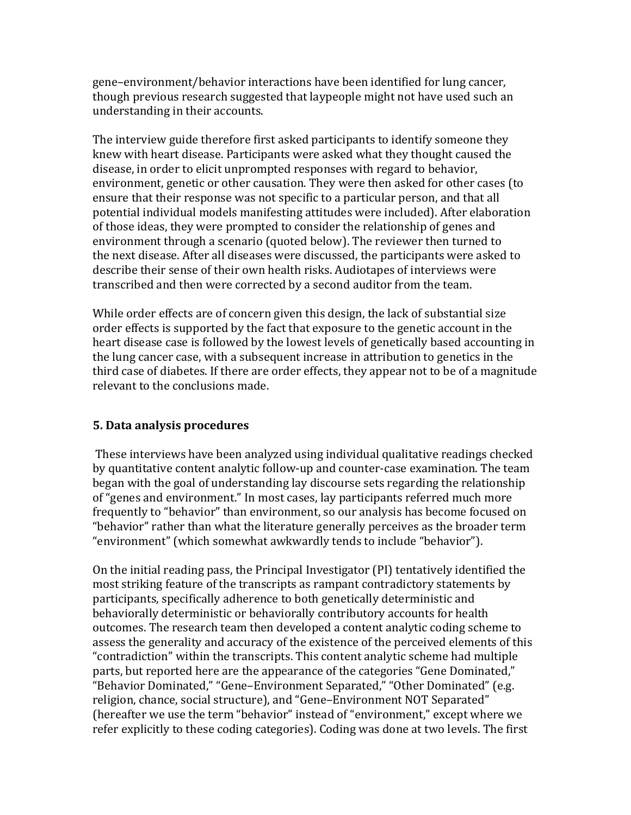gene–environment/behavior interactions have been identified for lung cancer, though previous research suggested that laypeople might not have used such an understanding in their accounts.

The interview guide therefore first asked participants to identify someone they knew with heart disease. Participants were asked what they thought caused the disease, in order to elicit unprompted responses with regard to behavior, environment, genetic or other causation. They were then asked for other cases (to ensure that their response was not specific to a particular person, and that all potential individual models manifesting attitudes were included). After elaboration of those ideas, they were prompted to consider the relationship of genes and environment through a scenario (quoted below). The reviewer then turned to the next disease. After all diseases were discussed, the participants were asked to describe their sense of their own health risks. Audiotapes of interviews were transcribed and then were corrected by a second auditor from the team.

While order effects are of concern given this design, the lack of substantial size order effects is supported by the fact that exposure to the genetic account in the heart disease case is followed by the lowest levels of genetically based accounting in the lung cancer case, with a subsequent increase in attribution to genetics in the third case of diabetes. If there are order effects, they appear not to be of a magnitude relevant to the conclusions made.

### **5. Data analysis procedures**

These interviews have been analyzed using individual qualitative readings checked by quantitative content analytic follow-up and counter-case examination. The team began with the goal of understanding lay discourse sets regarding the relationship of "genes and environment." In most cases, lay participants referred much more frequently to "behavior" than environment, so our analysis has become focused on "behavior" rather than what the literature generally perceives as the broader term "environment" (which somewhat awkwardly tends to include "behavior").

On the initial reading pass, the Principal Investigator (PI) tentatively identified the most striking feature of the transcripts as rampant contradictory statements by participants, specifically adherence to both genetically deterministic and behaviorally deterministic or behaviorally contributory accounts for health outcomes. The research team then developed a content analytic coding scheme to assess the generality and accuracy of the existence of the perceived elements of this "contradiction" within the transcripts. This content analytic scheme had multiple parts, but reported here are the appearance of the categories "Gene Dominated," "Behavior Dominated," "Gene-Environment Separated," "Other Dominated" (e.g. religion, chance, social structure), and "Gene-Environment NOT Separated" (hereafter we use the term "behavior" instead of "environment," except where we refer explicitly to these coding categories). Coding was done at two levels. The first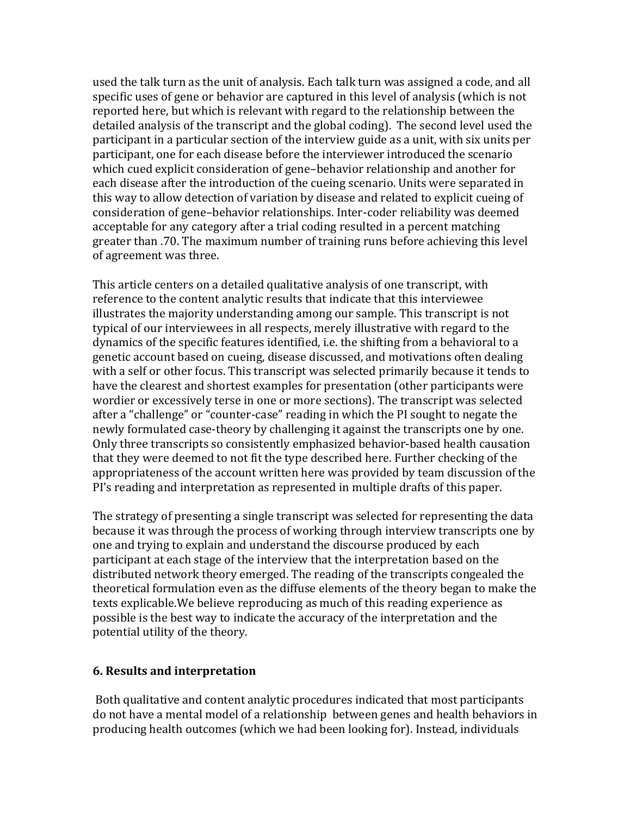used the talk turn as the unit of analysis. Each talk turn was assigned a code, and all specific uses of gene or behavior are captured in this level of analysis (which is not reported here, but which is relevant with regard to the relationship between the detailed analysis of the transcript and the global coding). The second level used the participant in a particular section of the interview guide as a unit, with six units per participant, one for each disease before the interviewer introduced the scenario which cued explicit consideration of gene-behavior relationship and another for each disease after the introduction of the cueing scenario. Units were separated in this way to allow detection of variation by disease and related to explicit cueing of consideration of gene-behavior relationships. Inter-coder reliability was deemed acceptable for any category after a trial coding resulted in a percent matching greater than .70. The maximum number of training runs before achieving this level of agreement was three.

This article centers on a detailed qualitative analysis of one transcript, with reference to the content analytic results that indicate that this interviewee illustrates the majority understanding among our sample. This transcript is not typical of our interviewees in all respects, merely illustrative with regard to the dynamics of the specific features identified, i.e. the shifting from a behavioral to a genetic account based on cueing, disease discussed, and motivations often dealing with a self or other focus. This transcript was selected primarily because it tends to have the clearest and shortest examples for presentation (other participants were wordier or excessively terse in one or more sections). The transcript was selected after a "challenge" or "counter-case" reading in which the PI sought to negate the newly formulated case-theory by challenging it against the transcripts one by one. Only three transcripts so consistently emphasized behavior-based health causation that they were deemed to not fit the type described here. Further checking of the appropriateness of the account written here was provided by team discussion of the PI's reading and interpretation as represented in multiple drafts of this paper.

The strategy of presenting a single transcript was selected for representing the data because it was through the process of working through interview transcripts one by one and trying to explain and understand the discourse produced by each participant at each stage of the interview that the interpretation based on the distributed network theory emerged. The reading of the transcripts congealed the theoretical formulation even as the diffuse elements of the theory began to make the texts explicable. We believe reproducing as much of this reading experience as possible is the best way to indicate the accuracy of the interpretation and the potential utility of the theory.

#### **6. Results and interpretation**

Both qualitative and content analytic procedures indicated that most participants do not have a mental model of a relationship between genes and health behaviors in producing health outcomes (which we had been looking for). Instead, individuals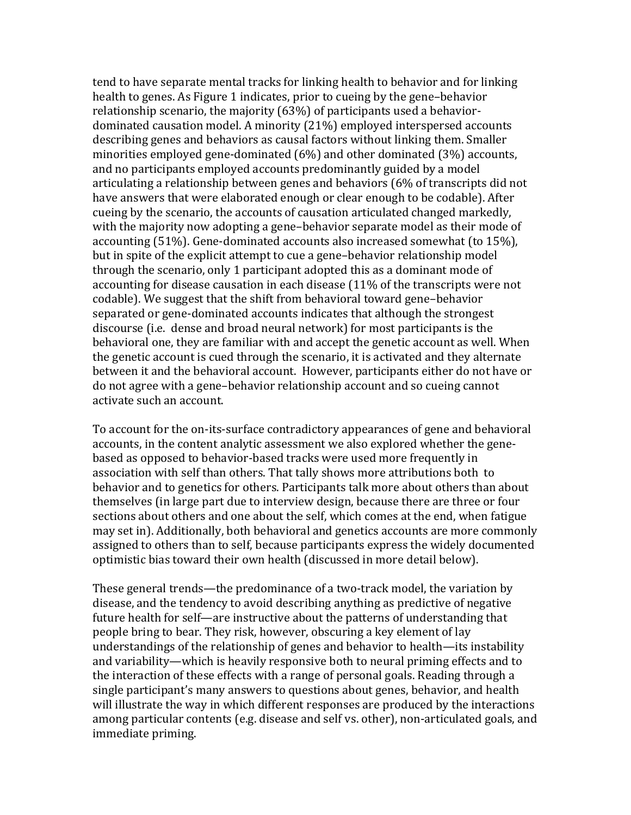tend to have separate mental tracks for linking health to behavior and for linking health to genes. As Figure 1 indicates, prior to cueing by the gene-behavior relationship scenario, the majority  $(63%)$  of participants used a behaviordominated causation model. A minority (21%) employed interspersed accounts describing genes and behaviors as causal factors without linking them. Smaller minorities employed gene-dominated  $(6%)$  and other dominated  $(3%)$  accounts, and no participants employed accounts predominantly guided by a model articulating a relationship between genes and behaviors  $(6\%$  of transcripts did not have answers that were elaborated enough or clear enough to be codable). After cueing by the scenario, the accounts of causation articulated changed markedly, with the majority now adopting a gene-behavior separate model as their mode of accounting  $(51\%)$ . Gene-dominated accounts also increased somewhat (to  $15\%$ ). but in spite of the explicit attempt to cue a gene-behavior relationship model through the scenario, only 1 participant adopted this as a dominant mode of accounting for disease causation in each disease  $(11\%$  of the transcripts were not codable). We suggest that the shift from behavioral toward gene-behavior separated or gene-dominated accounts indicates that although the strongest discourse (i.e. dense and broad neural network) for most participants is the behavioral one, they are familiar with and accept the genetic account as well. When the genetic account is cued through the scenario, it is activated and they alternate between it and the behavioral account. However, participants either do not have or do not agree with a gene-behavior relationship account and so cueing cannot activate such an account.

To account for the on-its-surface contradictory appearances of gene and behavioral accounts, in the content analytic assessment we also explored whether the genebased as opposed to behavior-based tracks were used more frequently in association with self than others. That tally shows more attributions both to behavior and to genetics for others. Participants talk more about others than about themselves (in large part due to interview design, because there are three or four sections about others and one about the self, which comes at the end, when fatigue may set in). Additionally, both behavioral and genetics accounts are more commonly assigned to others than to self, because participants express the widely documented optimistic bias toward their own health (discussed in more detail below).

These general trends—the predominance of a two-track model, the variation by disease, and the tendency to avoid describing anything as predictive of negative future health for self—are instructive about the patterns of understanding that people bring to bear. They risk, however, obscuring a key element of lay understandings of the relationship of genes and behavior to health—its instability and variability—which is heavily responsive both to neural priming effects and to the interaction of these effects with a range of personal goals. Reading through a single participant's many answers to questions about genes, behavior, and health will illustrate the way in which different responses are produced by the interactions among particular contents (e.g. disease and self vs. other), non-articulated goals, and immediate priming.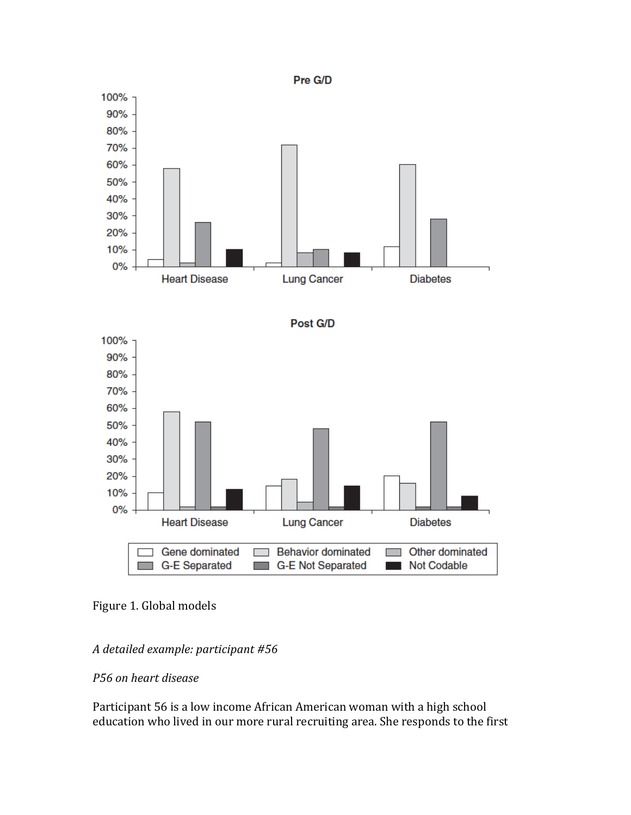

## Figure 1. Global models

*A detailed example: participant #56*

### *P56 on heart disease*

Participant 56 is a low income African American woman with a high school education who lived in our more rural recruiting area. She responds to the first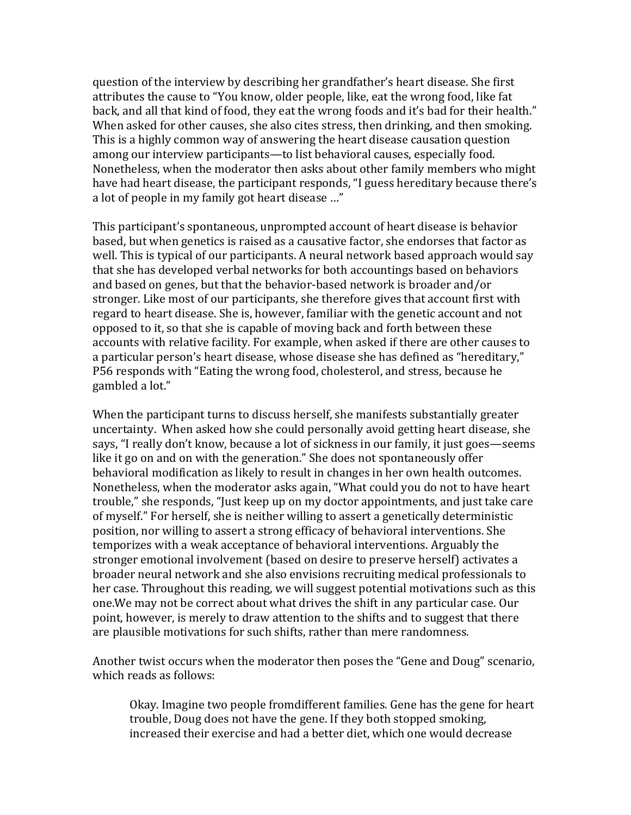question of the interview by describing her grandfather's heart disease. She first attributes the cause to "You know, older people, like, eat the wrong food, like fat back, and all that kind of food, they eat the wrong foods and it's bad for their health." When asked for other causes, she also cites stress, then drinking, and then smoking. This is a highly common way of answering the heart disease causation question among our interview participants—to list behavioral causes, especially food. Nonetheless, when the moderator then asks about other family members who might have had heart disease, the participant responds, "I guess hereditary because there's a lot of people in my family got heart disease ..."

This participant's spontaneous, unprompted account of heart disease is behavior based, but when genetics is raised as a causative factor, she endorses that factor as well. This is typical of our participants. A neural network based approach would say that she has developed verbal networks for both accountings based on behaviors and based on genes, but that the behavior-based network is broader and/or stronger. Like most of our participants, she therefore gives that account first with regard to heart disease. She is, however, familiar with the genetic account and not opposed to it, so that she is capable of moving back and forth between these accounts with relative facility. For example, when asked if there are other causes to a particular person's heart disease, whose disease she has defined as "hereditary," P56 responds with "Eating the wrong food, cholesterol, and stress, because he gambled a lot."

When the participant turns to discuss herself, she manifests substantially greater uncertainty. When asked how she could personally avoid getting heart disease, she says, "I really don't know, because a lot of sickness in our family, it just goes—seems like it go on and on with the generation." She does not spontaneously offer behavioral modification as likely to result in changes in her own health outcomes. Nonetheless, when the moderator asks again, "What could you do not to have heart trouble," she responds, "Just keep up on my doctor appointments, and just take care of myself." For herself, she is neither willing to assert a genetically deterministic position, nor willing to assert a strong efficacy of behavioral interventions. She temporizes with a weak acceptance of behavioral interventions. Arguably the stronger emotional involvement (based on desire to preserve herself) activates a broader neural network and she also envisions recruiting medical professionals to her case. Throughout this reading, we will suggest potential motivations such as this one. We may not be correct about what drives the shift in any particular case. Our point, however, is merely to draw attention to the shifts and to suggest that there are plausible motivations for such shifts, rather than mere randomness.

Another twist occurs when the moderator then poses the "Gene and Doug" scenario, which reads as follows:

Okay. Imagine two people fromdifferent families. Gene has the gene for heart trouble, Doug does not have the gene. If they both stopped smoking, increased their exercise and had a better diet, which one would decrease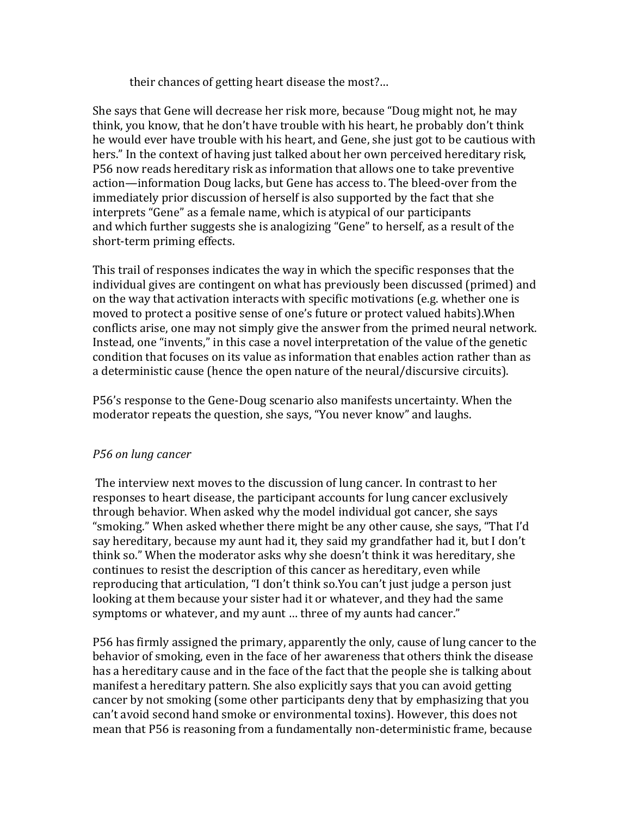their chances of getting heart disease the most?...

She says that Gene will decrease her risk more, because "Doug might not, he may think, you know, that he don't have trouble with his heart, he probably don't think he would ever have trouble with his heart, and Gene, she just got to be cautious with hers." In the context of having just talked about her own perceived hereditary risk, P56 now reads hereditary risk as information that allows one to take preventive action—information Doug lacks, but Gene has access to. The bleed-over from the immediately prior discussion of herself is also supported by the fact that she interprets "Gene" as a female name, which is atypical of our participants and which further suggests she is analogizing "Gene" to herself, as a result of the short-term priming effects.

This trail of responses indicates the way in which the specific responses that the individual gives are contingent on what has previously been discussed (primed) and on the way that activation interacts with specific motivations (e.g. whether one is moved to protect a positive sense of one's future or protect valued habits). When conflicts arise, one may not simply give the answer from the primed neural network. Instead, one "invents," in this case a novel interpretation of the value of the genetic condition that focuses on its value as information that enables action rather than as a deterministic cause (hence the open nature of the neural/discursive circuits).

P56's response to the Gene-Doug scenario also manifests uncertainty. When the moderator repeats the question, she says, "You never know" and laughs.

### *P56 on lung cancer*

The interview next moves to the discussion of lung cancer. In contrast to her responses to heart disease, the participant accounts for lung cancer exclusively through behavior. When asked why the model individual got cancer, she says "smoking." When asked whether there might be any other cause, she says, "That I'd say hereditary, because my aunt had it, they said my grandfather had it, but I don't think so." When the moderator asks why she doesn't think it was hereditary, she continues to resist the description of this cancer as hereditary, even while reproducing that articulation, "I don't think so.You can't just judge a person just looking at them because your sister had it or whatever, and they had the same symptoms or whatever, and my aunt ... three of my aunts had cancer."

P56 has firmly assigned the primary, apparently the only, cause of lung cancer to the behavior of smoking, even in the face of her awareness that others think the disease has a hereditary cause and in the face of the fact that the people she is talking about manifest a hereditary pattern. She also explicitly says that you can avoid getting cancer by not smoking (some other participants deny that by emphasizing that you can't avoid second hand smoke or environmental toxins). However, this does not mean that P56 is reasoning from a fundamentally non-deterministic frame, because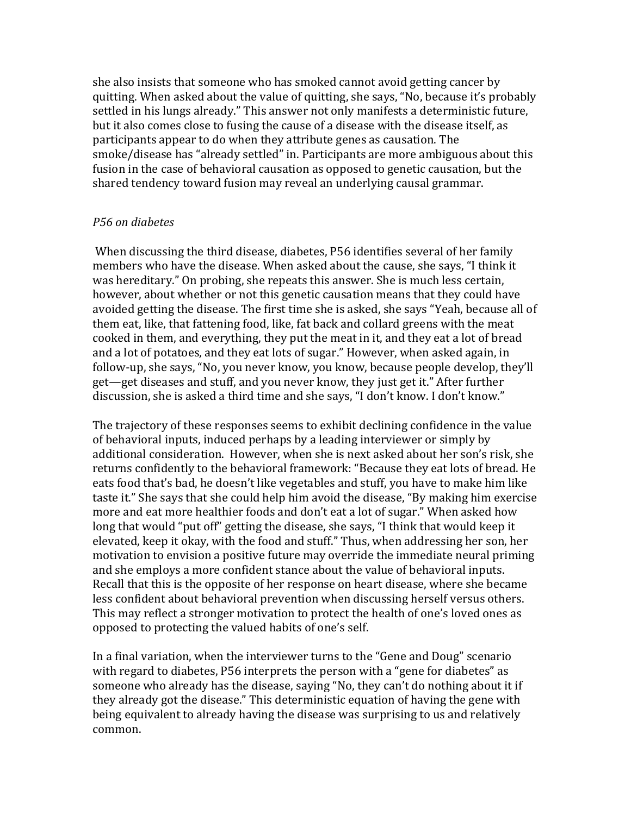she also insists that someone who has smoked cannot avoid getting cancer by quitting. When asked about the value of quitting, she says, "No, because it's probably settled in his lungs already." This answer not only manifests a deterministic future, but it also comes close to fusing the cause of a disease with the disease itself, as participants appear to do when they attribute genes as causation. The smoke/disease has "already settled" in. Participants are more ambiguous about this fusion in the case of behavioral causation as opposed to genetic causation, but the shared tendency toward fusion may reveal an underlying causal grammar.

#### *P56 on diabetes*

When discussing the third disease, diabetes, P56 identifies several of her family members who have the disease. When asked about the cause, she says, "I think it was hereditary." On probing, she repeats this answer. She is much less certain, however, about whether or not this genetic causation means that they could have avoided getting the disease. The first time she is asked, she says "Yeah, because all of them eat, like, that fattening food, like, fat back and collard greens with the meat cooked in them, and everything, they put the meat in it, and they eat a lot of bread and a lot of potatoes, and they eat lots of sugar." However, when asked again, in follow-up, she says, "No, you never know, you know, because people develop, they'll get—get diseases and stuff, and you never know, they just get it." After further discussion, she is asked a third time and she says, "I don't know. I don't know."

The trajectory of these responses seems to exhibit declining confidence in the value of behavioral inputs, induced perhaps by a leading interviewer or simply by additional consideration. However, when she is next asked about her son's risk, she returns confidently to the behavioral framework: "Because they eat lots of bread. He eats food that's bad, he doesn't like vegetables and stuff, you have to make him like taste it." She says that she could help him avoid the disease, "By making him exercise more and eat more healthier foods and don't eat a lot of sugar." When asked how long that would "put off" getting the disease, she says, "I think that would keep it elevated, keep it okay, with the food and stuff." Thus, when addressing her son, her motivation to envision a positive future may override the immediate neural priming and she employs a more confident stance about the value of behavioral inputs. Recall that this is the opposite of her response on heart disease, where she became less confident about behavioral prevention when discussing herself versus others. This may reflect a stronger motivation to protect the health of one's loved ones as opposed to protecting the valued habits of one's self.

In a final variation, when the interviewer turns to the "Gene and Doug" scenario with regard to diabetes, P56 interprets the person with a "gene for diabetes" as someone who already has the disease, saying "No, they can't do nothing about it if they already got the disease." This deterministic equation of having the gene with being equivalent to already having the disease was surprising to us and relatively common.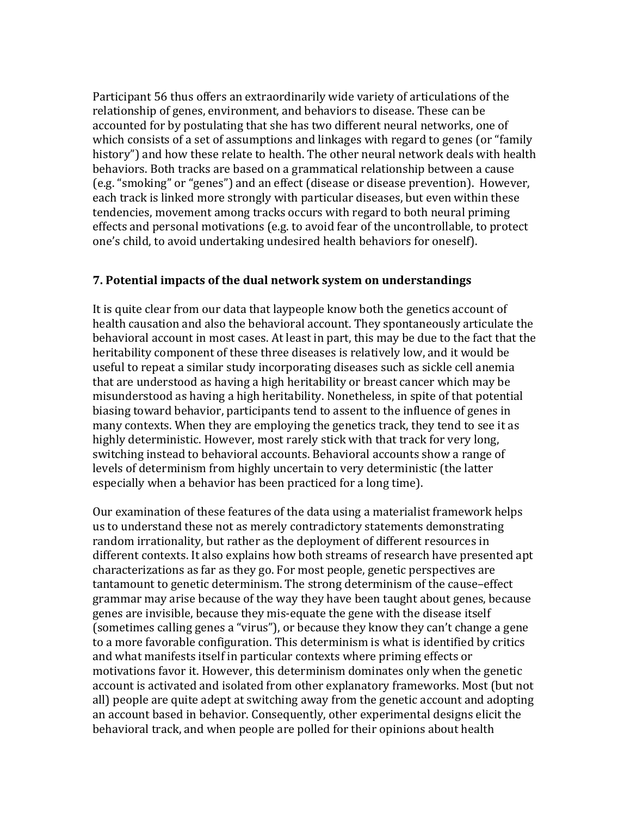Participant 56 thus offers an extraordinarily wide variety of articulations of the relationship of genes, environment, and behaviors to disease. These can be accounted for by postulating that she has two different neural networks, one of which consists of a set of assumptions and linkages with regard to genes (or "family history") and how these relate to health. The other neural network deals with health behaviors. Both tracks are based on a grammatical relationship between a cause (e.g. "smoking" or "genes") and an effect (disease or disease prevention). However, each track is linked more strongly with particular diseases, but even within these tendencies, movement among tracks occurs with regard to both neural priming effects and personal motivations (e.g. to avoid fear of the uncontrollable, to protect one's child, to avoid undertaking undesired health behaviors for oneself).

### **7. Potential impacts of the dual network system on understandings**

It is quite clear from our data that laypeople know both the genetics account of health causation and also the behavioral account. They spontaneously articulate the behavioral account in most cases. At least in part, this may be due to the fact that the heritability component of these three diseases is relatively low, and it would be useful to repeat a similar study incorporating diseases such as sickle cell anemia that are understood as having a high heritability or breast cancer which may be misunderstood as having a high heritability. Nonetheless, in spite of that potential biasing toward behavior, participants tend to assent to the influence of genes in many contexts. When they are employing the genetics track, they tend to see it as highly deterministic. However, most rarely stick with that track for very long, switching instead to behavioral accounts. Behavioral accounts show a range of levels of determinism from highly uncertain to very deterministic (the latter especially when a behavior has been practiced for a long time).

Our examination of these features of the data using a materialist framework helps us to understand these not as merely contradictory statements demonstrating random irrationality, but rather as the deployment of different resources in different contexts. It also explains how both streams of research have presented apt characterizations as far as they go. For most people, genetic perspectives are tantamount to genetic determinism. The strong determinism of the cause-effect grammar may arise because of the way they have been taught about genes, because genes are invisible, because they mis-equate the gene with the disease itself (sometimes calling genes a "virus"), or because they know they can't change a gene to a more favorable configuration. This determinism is what is identified by critics and what manifests itself in particular contexts where priming effects or motivations favor it. However, this determinism dominates only when the genetic account is activated and isolated from other explanatory frameworks. Most (but not all) people are quite adept at switching away from the genetic account and adopting an account based in behavior. Consequently, other experimental designs elicit the behavioral track, and when people are polled for their opinions about health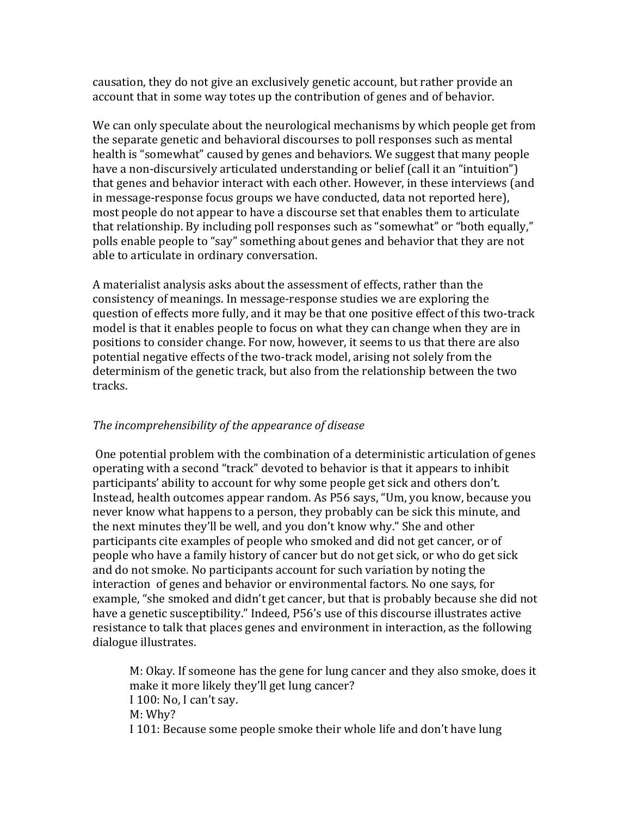causation, they do not give an exclusively genetic account, but rather provide an account that in some way totes up the contribution of genes and of behavior.

We can only speculate about the neurological mechanisms by which people get from the separate genetic and behavioral discourses to poll responses such as mental health is "somewhat" caused by genes and behaviors. We suggest that many people have a non-discursively articulated understanding or belief (call it an "intuition") that genes and behavior interact with each other. However, in these interviews (and in message-response focus groups we have conducted, data not reported here), most people do not appear to have a discourse set that enables them to articulate that relationship. By including poll responses such as "somewhat" or "both equally," polls enable people to "say" something about genes and behavior that they are not able to articulate in ordinary conversation.

A materialist analysis asks about the assessment of effects, rather than the consistency of meanings. In message-response studies we are exploring the question of effects more fully, and it may be that one positive effect of this two-track model is that it enables people to focus on what they can change when they are in positions to consider change. For now, however, it seems to us that there are also potential negative effects of the two-track model, arising not solely from the determinism of the genetic track, but also from the relationship between the two tracks.

### The *incomprehensibility of the appearance of disease*

One potential problem with the combination of a deterministic articulation of genes operating with a second "track" devoted to behavior is that it appears to inhibit participants' ability to account for why some people get sick and others don't. Instead, health outcomes appear random. As P56 says, "Um, you know, because you never know what happens to a person, they probably can be sick this minute, and the next minutes they'll be well, and you don't know why." She and other participants cite examples of people who smoked and did not get cancer, or of people who have a family history of cancer but do not get sick, or who do get sick and do not smoke. No participants account for such variation by noting the interaction of genes and behavior or environmental factors. No one says, for example, "she smoked and didn't get cancer, but that is probably because she did not have a genetic susceptibility." Indeed, P56's use of this discourse illustrates active resistance to talk that places genes and environment in interaction, as the following dialogue illustrates.

M: Okay. If someone has the gene for lung cancer and they also smoke, does it make it more likely they'll get lung cancer? I 100: No, I can't say. M: Why? I 101: Because some people smoke their whole life and don't have lung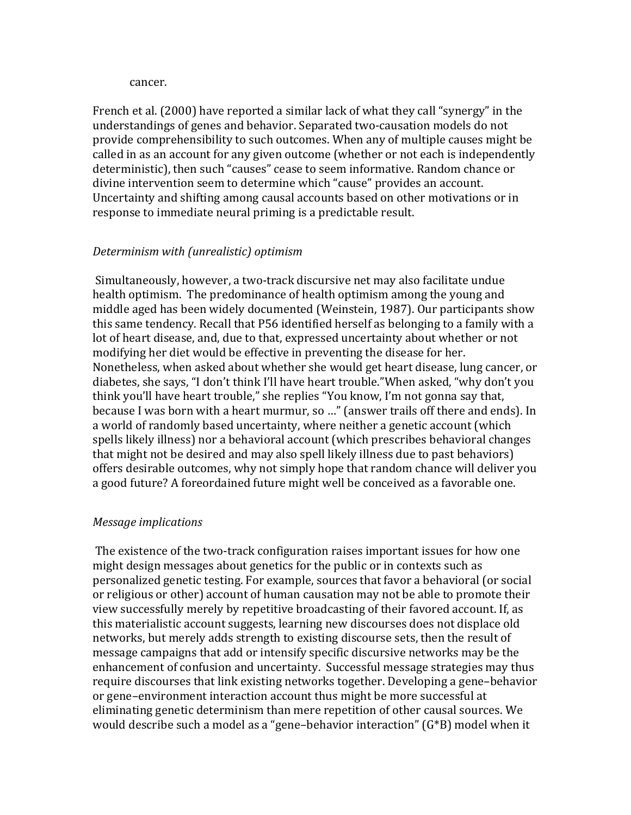#### cancer.

French et al.  $(2000)$  have reported a similar lack of what they call "synergy" in the understandings of genes and behavior. Separated two-causation models do not provide comprehensibility to such outcomes. When any of multiple causes might be called in as an account for any given outcome (whether or not each is independently deterministic), then such "causes" cease to seem informative. Random chance or divine intervention seem to determine which "cause" provides an account. Uncertainty and shifting among causal accounts based on other motivations or in response to immediate neural priming is a predictable result.

#### *Determinism with (unrealistic) optimism*

Simultaneously, however, a two-track discursive net may also facilitate undue health optimism. The predominance of health optimism among the young and middle aged has been widely documented (Weinstein, 1987). Our participants show this same tendency. Recall that P56 identified herself as belonging to a family with a lot of heart disease, and, due to that, expressed uncertainty about whether or not modifying her diet would be effective in preventing the disease for her. Nonetheless, when asked about whether she would get heart disease, lung cancer, or diabetes, she says, "I don't think I'll have heart trouble."When asked, "why don't you think you'll have heart trouble," she replies "You know, I'm not gonna say that, because I was born with a heart murmur, so ..." (answer trails off there and ends). In a world of randomly based uncertainty, where neither a genetic account (which spells likely illness) nor a behavioral account (which prescribes behavioral changes that might not be desired and may also spell likely illness due to past behaviors) offers desirable outcomes, why not simply hope that random chance will deliver you a good future? A foreordained future might well be conceived as a favorable one.

#### *Message implications*

The existence of the two-track configuration raises important issues for how one might design messages about genetics for the public or in contexts such as personalized genetic testing. For example, sources that favor a behavioral (or social or religious or other) account of human causation may not be able to promote their view successfully merely by repetitive broadcasting of their favored account. If, as this materialistic account suggests, learning new discourses does not displace old networks, but merely adds strength to existing discourse sets, then the result of message campaigns that add or intensify specific discursive networks may be the enhancement of confusion and uncertainty. Successful message strategies may thus require discourses that link existing networks together. Developing a gene-behavior or gene-environment interaction account thus might be more successful at eliminating genetic determinism than mere repetition of other causal sources. We would describe such a model as a "gene-behavior interaction"  $(G*B)$  model when it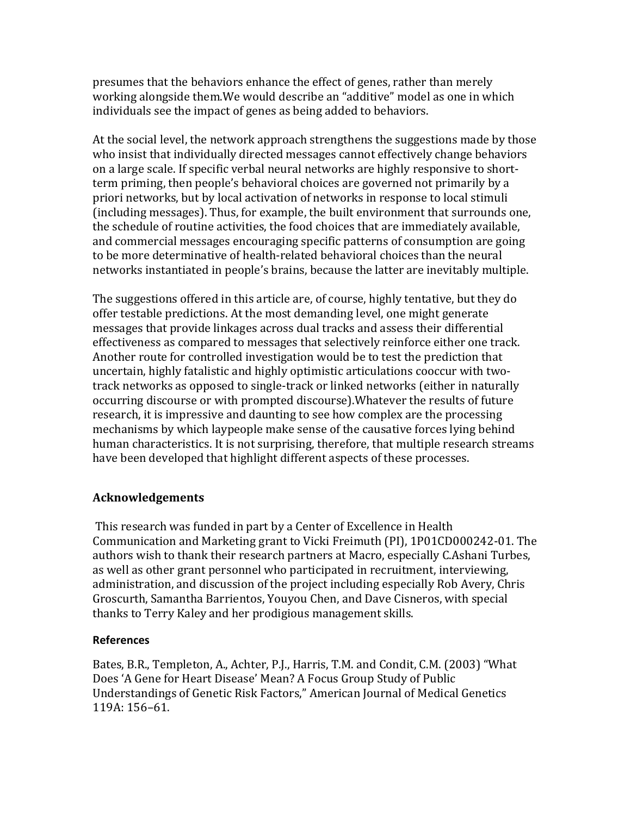presumes that the behaviors enhance the effect of genes, rather than merely working alongside them.We would describe an "additive" model as one in which individuals see the impact of genes as being added to behaviors.

At the social level, the network approach strengthens the suggestions made by those who insist that individually directed messages cannot effectively change behaviors on a large scale. If specific verbal neural networks are highly responsive to shortterm priming, then people's behavioral choices are governed not primarily by a priori networks, but by local activation of networks in response to local stimuli (including messages). Thus, for example, the built environment that surrounds one, the schedule of routine activities, the food choices that are immediately available, and commercial messages encouraging specific patterns of consumption are going to be more determinative of health-related behavioral choices than the neural networks instantiated in people's brains, because the latter are inevitably multiple.

The suggestions offered in this article are, of course, highly tentative, but they do offer testable predictions. At the most demanding level, one might generate messages that provide linkages across dual tracks and assess their differential effectiveness as compared to messages that selectively reinforce either one track. Another route for controlled investigation would be to test the prediction that uncertain, highly fatalistic and highly optimistic articulations cooccur with twotrack networks as opposed to single-track or linked networks (either in naturally occurring discourse or with prompted discourse). Whatever the results of future research, it is impressive and daunting to see how complex are the processing mechanisms by which laypeople make sense of the causative forces lying behind human characteristics. It is not surprising, therefore, that multiple research streams have been developed that highlight different aspects of these processes.

### **Acknowledgements**

This research was funded in part by a Center of Excellence in Health Communication and Marketing grant to Vicki Freimuth (PI), 1P01CD000242-01. The authors wish to thank their research partners at Macro, especially C.Ashani Turbes, as well as other grant personnel who participated in recruitment, interviewing, administration, and discussion of the project including especially Rob Avery, Chris Groscurth, Samantha Barrientos, Youyou Chen, and Dave Cisneros, with special thanks to Terry Kaley and her prodigious management skills.

#### **References**

Bates, B.R., Templeton, A., Achter, P.J., Harris, T.M. and Condit, C.M. (2003) "What Does 'A Gene for Heart Disease' Mean? A Focus Group Study of Public Understandings of Genetic Risk Factors," American Journal of Medical Genetics 119A: 156–61.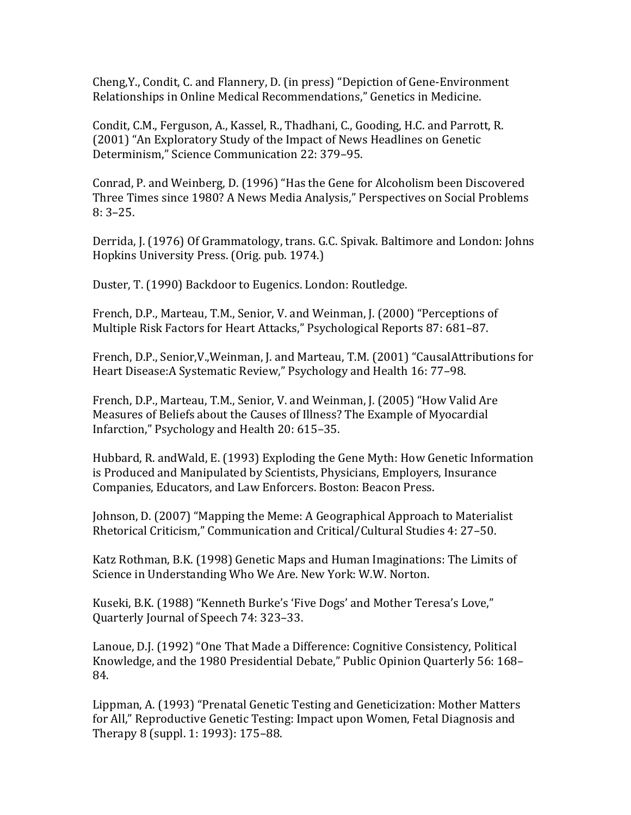Cheng, Y., Condit, C. and Flannery, D. (in press) "Depiction of Gene-Environment Relationships in Online Medical Recommendations," Genetics in Medicine.

Condit, C.M., Ferguson, A., Kassel, R., Thadhani, C., Gooding, H.C. and Parrott, R. (2001) "An Exploratory Study of the Impact of News Headlines on Genetic Determinism," Science Communication 22: 379-95.

Conrad, P. and Weinberg, D. (1996) "Has the Gene for Alcoholism been Discovered Three Times since 1980? A News Media Analysis," Perspectives on Social Problems  $8:3-25.$ 

Derrida, J. (1976) Of Grammatology, trans. G.C. Spivak. Baltimore and London: Johns Hopkins University Press. (Orig. pub. 1974.)

Duster, T. (1990) Backdoor to Eugenics. London: Routledge.

French, D.P., Marteau, T.M., Senior, V. and Weinman, J. (2000) "Perceptions of Multiple Risk Factors for Heart Attacks," Psychological Reports 87: 681-87.

French, D.P., Senior, V., Weinman, J. and Marteau, T.M. (2001) "CausalAttributions for Heart Disease:A Systematic Review," Psychology and Health 16: 77–98.

French, D.P., Marteau, T.M., Senior, V. and Weinman, J. (2005) "How Valid Are Measures of Beliefs about the Causes of Illness? The Example of Myocardial Infarction," Psychology and Health 20: 615–35.

Hubbard, R. andWald, E. (1993) Exploding the Gene Myth: How Genetic Information is Produced and Manipulated by Scientists, Physicians, Employers, Insurance Companies, Educators, and Law Enforcers. Boston: Beacon Press.

Johnson, D. (2007) "Mapping the Meme: A Geographical Approach to Materialist Rhetorical Criticism," Communication and Critical/Cultural Studies 4: 27-50.

Katz Rothman, B.K. (1998) Genetic Maps and Human Imaginations: The Limits of Science in Understanding Who We Are. New York: W.W. Norton.

Kuseki, B.K. (1988) "Kenneth Burke's 'Five Dogs' and Mother Teresa's Love," Quarterly Journal of Speech 74: 323–33.

Lanoue, D.J. (1992) "One That Made a Difference: Cognitive Consistency, Political Knowledge, and the 1980 Presidential Debate," Public Opinion Quarterly 56: 168– 84.

Lippman, A. (1993) "Prenatal Genetic Testing and Geneticization: Mother Matters for All," Reproductive Genetic Testing: Impact upon Women, Fetal Diagnosis and Therapy 8 (suppl. 1: 1993):  $175-88$ .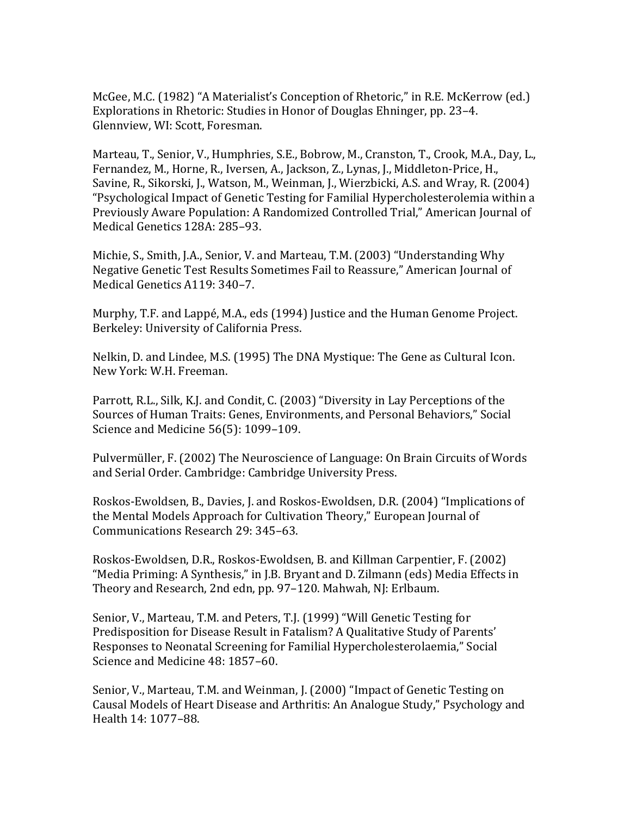McGee, M.C. (1982) "A Materialist's Conception of Rhetoric," in R.E. McKerrow (ed.) Explorations in Rhetoric: Studies in Honor of Douglas Ehninger, pp. 23–4. Glennview, WI: Scott, Foresman.

Marteau, T., Senior, V., Humphries, S.E., Bobrow, M., Cranston, T., Crook, M.A., Day, L., Fernandez, M., Horne, R., Iversen, A., Jackson, Z., Lynas, J., Middleton-Price, H., Savine, R., Sikorski, J., Watson, M., Weinman, J., Wierzbicki, A.S. and Wray, R. (2004) "Psychological Impact of Genetic Testing for Familial Hypercholesterolemia within a Previously Aware Population: A Randomized Controlled Trial," American Journal of Medical Genetics 128A: 285-93.

Michie, S., Smith, J.A., Senior, V. and Marteau, T.M. (2003) "Understanding Why Negative Genetic Test Results Sometimes Fail to Reassure," American Journal of Medical Genetics A119: 340-7.

Murphy, T.F. and Lappé, M.A., eds (1994) Justice and the Human Genome Project. Berkeley: University of California Press.

Nelkin, D. and Lindee, M.S. (1995) The DNA Mystique: The Gene as Cultural Icon. New York: W.H. Freeman.

Parrott, R.L., Silk, K.J. and Condit, C. (2003) "Diversity in Lay Perceptions of the Sources of Human Traits: Genes, Environments, and Personal Behaviors," Social Science and Medicine 56(5): 1099-109.

Pulvermüller, F. (2002) The Neuroscience of Language: On Brain Circuits of Words and Serial Order. Cambridge: Cambridge University Press.

Roskos-Ewoldsen, B., Davies, J. and Roskos-Ewoldsen, D.R. (2004) "Implications of the Mental Models Approach for Cultivation Theory," European Journal of Communications Research 29: 345-63.

Roskos-Ewoldsen, D.R., Roskos-Ewoldsen, B. and Killman Carpentier, F. (2002) "Media Priming: A Synthesis," in J.B. Bryant and D. Zilmann (eds) Media Effects in Theory and Research, 2nd edn, pp. 97-120. Mahwah, NJ: Erlbaum.

Senior, V., Marteau, T.M. and Peters, T.J. (1999) "Will Genetic Testing for Predisposition for Disease Result in Fatalism? A Qualitative Study of Parents' Responses to Neonatal Screening for Familial Hypercholesterolaemia," Social Science and Medicine 48: 1857-60.

Senior, V., Marteau, T.M. and Weinman, J. (2000) "Impact of Genetic Testing on Causal Models of Heart Disease and Arthritis: An Analogue Study," Psychology and Health 14: 1077-88.